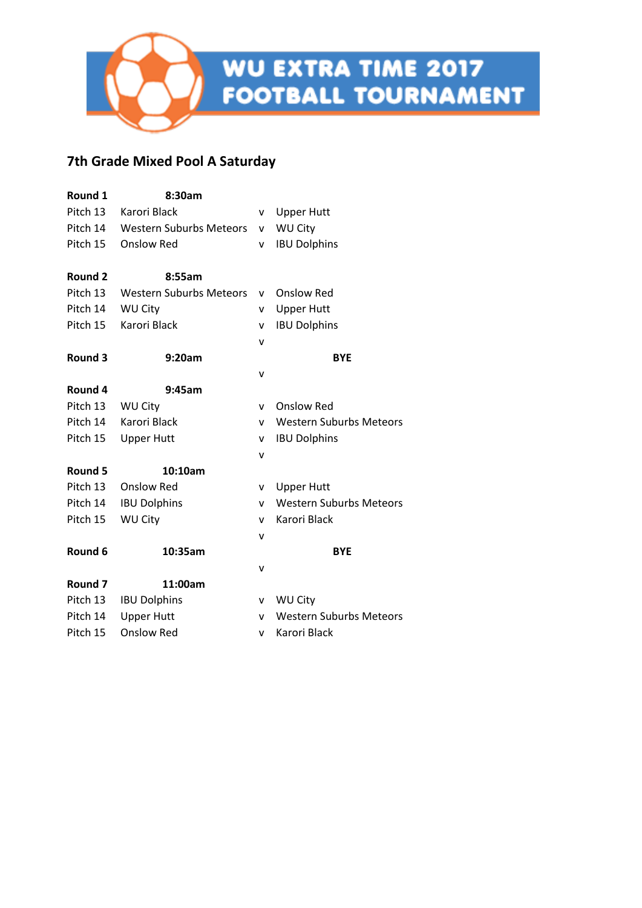## **7th Grade Mixed Pool A Saturday**

| Round 1            | 8:30am                         |              |                                |  |
|--------------------|--------------------------------|--------------|--------------------------------|--|
| Pitch 13           | Karori Black                   | V            | <b>Upper Hutt</b>              |  |
| Pitch 14           | <b>Western Suburbs Meteors</b> | v            | <b>WU City</b>                 |  |
| Pitch 15           | <b>Onslow Red</b>              | v            | <b>IBU Dolphins</b>            |  |
| Round 2            | 8:55am                         |              |                                |  |
| Pitch 13           | <b>Western Suburbs Meteors</b> | ۷            | <b>Onslow Red</b>              |  |
| Pitch 14           | WU City                        | v            | <b>Upper Hutt</b>              |  |
| Pitch 15           | <b>Karori Black</b>            | v            | <b>IBU Dolphins</b>            |  |
|                    |                                | $\mathsf{v}$ |                                |  |
| Round 3            | 9:20am                         |              | <b>BYE</b>                     |  |
|                    |                                | ٧            |                                |  |
| Round 4            | 9:45am                         |              |                                |  |
| Pitch 13           | <b>WU City</b>                 | v            | <b>Onslow Red</b>              |  |
| Pitch 14           | Karori Black                   | v            | <b>Western Suburbs Meteors</b> |  |
| Pitch 15           | <b>Upper Hutt</b>              | $\mathsf{v}$ | <b>IBU Dolphins</b>            |  |
|                    |                                | v            |                                |  |
| Round 5            | 10:10am                        |              |                                |  |
| Pitch 13           | <b>Onslow Red</b>              | v            | <b>Upper Hutt</b>              |  |
| Pitch 14           | <b>IBU Dolphins</b>            | v            | <b>Western Suburbs Meteors</b> |  |
| Pitch 15           | <b>WU City</b>                 | v            | Karori Black                   |  |
|                    |                                | v            |                                |  |
| Round 6            | 10:35am                        |              | <b>BYE</b>                     |  |
|                    |                                | v            |                                |  |
| Round <sub>7</sub> | 11:00am                        |              |                                |  |
| Pitch 13           | <b>IBU Dolphins</b>            | v            | <b>WU City</b>                 |  |
| Pitch 14           | <b>Upper Hutt</b>              | v            | <b>Western Suburbs Meteors</b> |  |
| Pitch 15           | <b>Onslow Red</b>              | v            | Karori Black                   |  |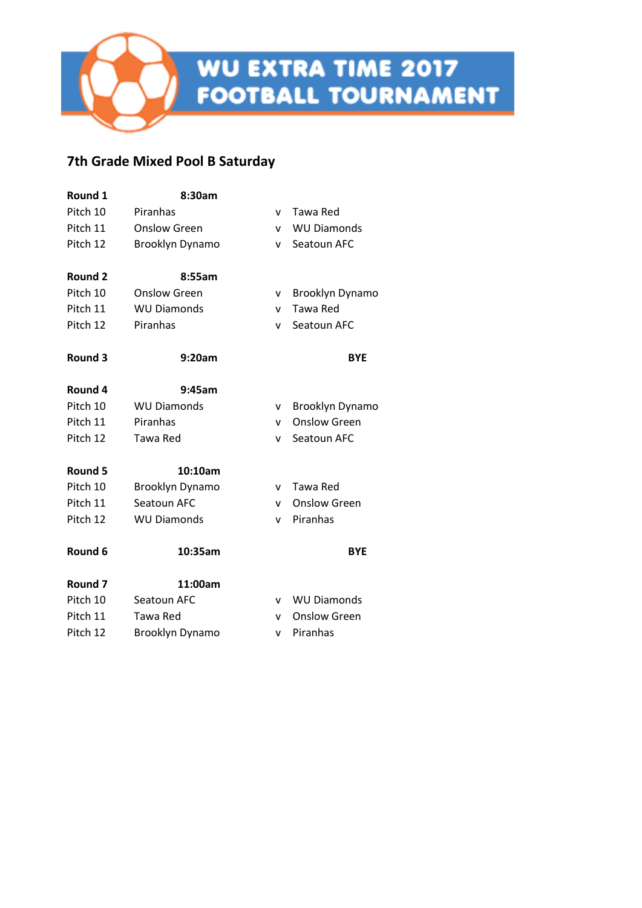## **7th Grade Mixed Pool B Saturday**

| Round 1            | 8:30am             |   |                     |
|--------------------|--------------------|---|---------------------|
| Pitch 10           | Piranhas           | v | Tawa Red            |
| Pitch 11           | Onslow Green       | v | <b>WU Diamonds</b>  |
| Pitch 12           | Brooklyn Dynamo    | v | Seatoun AFC         |
| <b>Round 2</b>     | 8:55am             |   |                     |
| Pitch 10           | Onslow Green       | v | Brooklyn Dynamo     |
| Pitch 11           | <b>WU Diamonds</b> | v | Tawa Red            |
| Pitch 12           | Piranhas           | v | Seatoun AFC         |
| Round 3            | 9:20am             |   | <b>BYE</b>          |
| Round 4            | 9:45am             |   |                     |
| Pitch 10           | <b>WU Diamonds</b> | ۷ | Brooklyn Dynamo     |
| Pitch 11           | Piranhas           | v | <b>Onslow Green</b> |
| Pitch 12           | Tawa Red           | v | Seatoun AFC         |
| Round 5            | 10:10am            |   |                     |
| Pitch 10           | Brooklyn Dynamo    | v | Tawa Red            |
| Pitch 11           | Seatoun AFC        | v | <b>Onslow Green</b> |
| Pitch 12           | <b>WU Diamonds</b> | v | Piranhas            |
| Round 6            | 10:35am            |   | <b>BYE</b>          |
| Round <sub>7</sub> | 11:00am            |   |                     |
| Pitch 10           | Seatoun AFC        | v | <b>WU Diamonds</b>  |
| Pitch 11           | Tawa Red           | v | <b>Onslow Green</b> |
| Pitch 12           | Brooklyn Dynamo    | v | Piranhas            |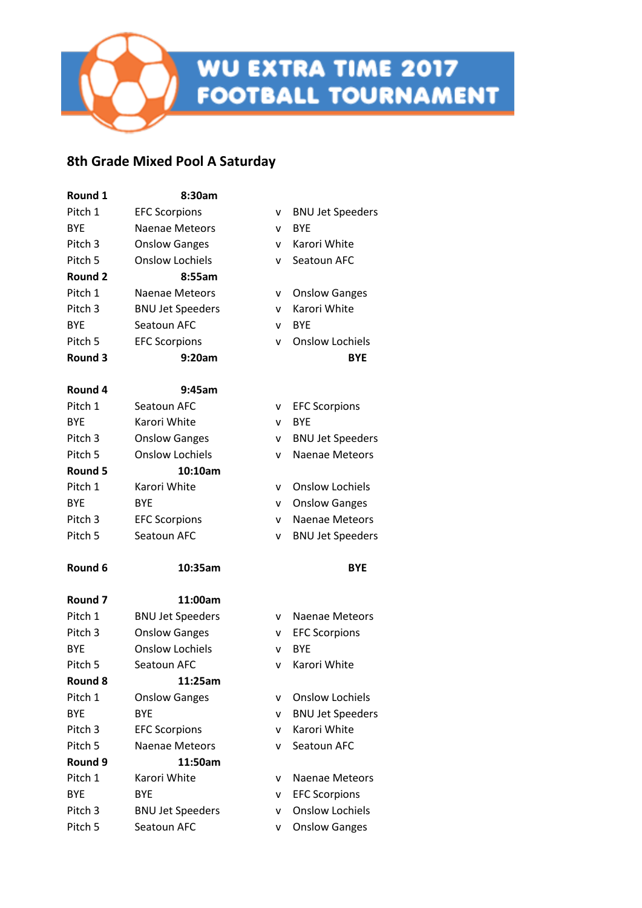#### **8th Grade Mixed Pool A Saturday**

| Round 1    | 8:30am                  |   |                         |
|------------|-------------------------|---|-------------------------|
| Pitch 1    | <b>EFC Scorpions</b>    | v | <b>BNU Jet Speeders</b> |
| <b>BYF</b> | <b>Naenae Meteors</b>   | v | <b>BYE</b>              |
| Pitch 3    | <b>Onslow Ganges</b>    | v | Karori White            |
| Pitch 5    | <b>Onslow Lochiels</b>  | v | Seatoun AFC             |
| Round 2    | 8:55am                  |   |                         |
| Pitch 1    | <b>Naenae Meteors</b>   | v | <b>Onslow Ganges</b>    |
| Pitch 3    | <b>BNU Jet Speeders</b> | v | Karori White            |
| <b>BYE</b> | Seatoun AFC             | v | <b>BYE</b>              |
| Pitch 5    | <b>EFC Scorpions</b>    | v | <b>Onslow Lochiels</b>  |
| Round 3    | 9:20am                  |   | <b>BYE</b>              |
| Round 4    | 9:45am                  |   |                         |
| Pitch 1    | Seatoun AFC             | v | <b>EFC Scorpions</b>    |
| <b>BYF</b> | Karori White            | v | <b>BYE</b>              |
| Pitch 3    | <b>Onslow Ganges</b>    | v | <b>BNU Jet Speeders</b> |
| Pitch 5    | <b>Onslow Lochiels</b>  | v | <b>Naenae Meteors</b>   |
| Round 5    | 10:10am                 |   |                         |
| Pitch 1    | Karori White            | v | <b>Onslow Lochiels</b>  |
| <b>BYE</b> | BYE                     | v | <b>Onslow Ganges</b>    |
| Pitch 3    | <b>EFC Scorpions</b>    | v | <b>Naenae Meteors</b>   |
| Pitch 5    | Seatoun AFC             | v | <b>BNU Jet Speeders</b> |
| Round 6    | 10:35am                 |   | <b>BYE</b>              |
| Round 7    | 11:00am                 |   |                         |
| Pitch 1    | <b>BNU Jet Speeders</b> | v | Naenae Meteors          |
| Pitch 3    | <b>Onslow Ganges</b>    | v | <b>EFC Scorpions</b>    |
| <b>BYE</b> | <b>Onslow Lochiels</b>  | v | <b>BYE</b>              |
| Pitch 5    | Seatoun AFC             | v | Karori White            |
| Round 8    | 11:25am                 |   |                         |
| Pitch 1    | <b>Onslow Ganges</b>    | v | <b>Onslow Lochiels</b>  |
| <b>BYE</b> | <b>BYE</b>              | v | <b>BNU Jet Speeders</b> |
| Pitch 3    | <b>EFC Scorpions</b>    | v | Karori White            |
| Pitch 5    | <b>Naenae Meteors</b>   | v | Seatoun AFC             |
| Round 9    | 11:50am                 |   |                         |
| Pitch 1    | Karori White            | v | <b>Naenae Meteors</b>   |
| <b>BYE</b> | <b>BYE</b>              | v | <b>EFC Scorpions</b>    |
| Pitch 3    | <b>BNU Jet Speeders</b> | v | <b>Onslow Lochiels</b>  |
| Pitch 5    | Seatoun AFC             | v | <b>Onslow Ganges</b>    |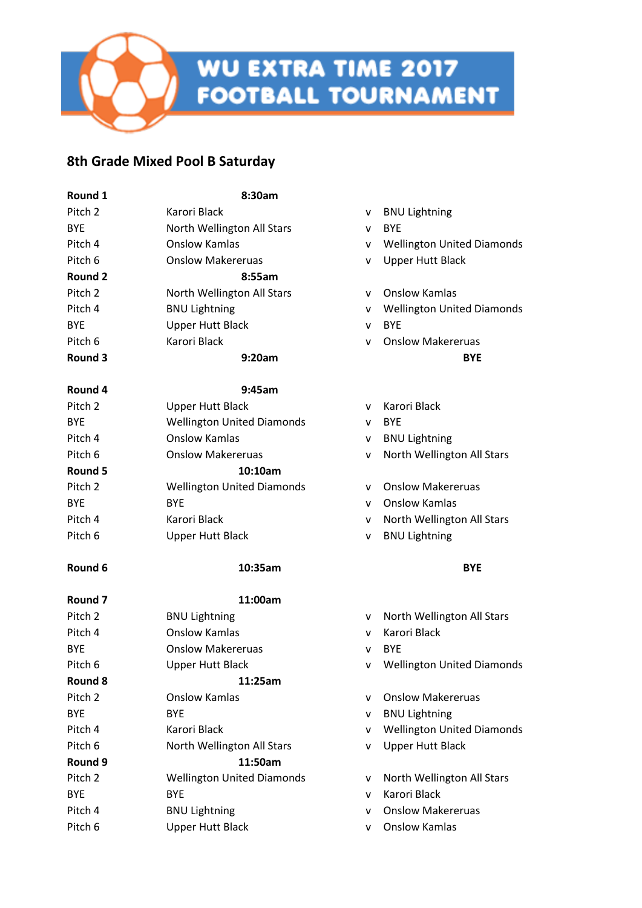

## **8th Grade Mixed Pool B Saturday**

| Round 1            | 8:30am                            |              |                                   |
|--------------------|-----------------------------------|--------------|-----------------------------------|
| Pitch 2            | Karori Black                      | v            | <b>BNU Lightning</b>              |
| <b>BYE</b>         | North Wellington All Stars        | v            | <b>BYE</b>                        |
| Pitch 4            | <b>Onslow Kamlas</b>              | v            | <b>Wellington United Diamonds</b> |
| Pitch 6            | <b>Onslow Makereruas</b>          | v            | <b>Upper Hutt Black</b>           |
| Round 2            | 8:55am                            |              |                                   |
| Pitch <sub>2</sub> | North Wellington All Stars        | v            | <b>Onslow Kamlas</b>              |
| Pitch 4            | <b>BNU Lightning</b>              | v            | <b>Wellington United Diamonds</b> |
| <b>BYE</b>         | <b>Upper Hutt Black</b>           | v            | <b>BYE</b>                        |
| Pitch 6            | Karori Black                      | $\mathsf{v}$ | <b>Onslow Makereruas</b>          |
| Round 3            | 9:20am                            |              | <b>BYE</b>                        |
| Round 4            | 9:45am                            |              |                                   |
| Pitch 2            | <b>Upper Hutt Black</b>           | v            | Karori Black                      |
| <b>BYE</b>         | <b>Wellington United Diamonds</b> | v            | <b>BYE</b>                        |
| Pitch 4            | <b>Onslow Kamlas</b>              | v            | <b>BNU Lightning</b>              |
| Pitch 6            | <b>Onslow Makereruas</b>          | v            | North Wellington All Stars        |
| Round 5            | 10:10am                           |              |                                   |
| Pitch 2            | <b>Wellington United Diamonds</b> | v            | <b>Onslow Makereruas</b>          |
| <b>BYE</b>         | <b>BYE</b>                        | $\mathsf{v}$ | <b>Onslow Kamlas</b>              |
| Pitch 4            | Karori Black                      | v            | North Wellington All Stars        |
| Pitch 6            | <b>Upper Hutt Black</b>           | v            | <b>BNU Lightning</b>              |
| Round 6            | 10:35am                           |              | <b>BYE</b>                        |
| Round 7            | 11:00am                           |              |                                   |
| Pitch 2            | <b>BNU Lightning</b>              | v            | North Wellington All Stars        |
| Pitch 4            | <b>Onslow Kamlas</b>              | v            | Karori Black                      |
| <b>BYE</b>         | <b>Onslow Makereruas</b>          | $\mathsf{v}$ | <b>BYE</b>                        |
| Pitch 6            | <b>Upper Hutt Black</b>           | v            | <b>Wellington United Diamonds</b> |
| Round 8            | 11:25am                           |              |                                   |
| Pitch 2            | <b>Onslow Kamlas</b>              | v            | <b>Onslow Makereruas</b>          |
| <b>BYE</b>         | <b>BYE</b>                        | v            | <b>BNU Lightning</b>              |
| Pitch 4            | Karori Black                      | v            | <b>Wellington United Diamonds</b> |
| Pitch 6            | North Wellington All Stars        | v            | <b>Upper Hutt Black</b>           |
| Round 9            | 11:50am                           |              |                                   |
| Pitch 2            | <b>Wellington United Diamonds</b> | ۷            | North Wellington All Stars        |
| <b>BYE</b>         | <b>BYE</b>                        | v            | <b>Karori Black</b>               |
| Pitch 4            | <b>BNU Lightning</b>              | v            | <b>Onslow Makereruas</b>          |
| Pitch 6            | <b>Upper Hutt Black</b>           | v            | <b>Onslow Kamlas</b>              |